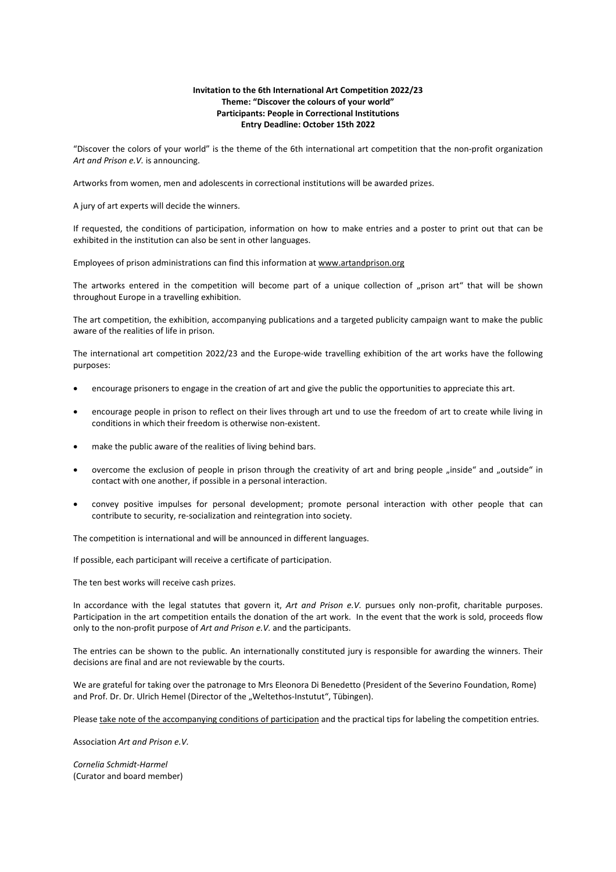## **Invitation to the 6th International Art Competition 2022/23 Theme: "Discover the colours of your world" Participants: People in Correctional Institutions Entry Deadline: October 15th 2022**

"Discover the colors of your world" is the theme of the 6th international art competition that the non-profit organization *Art and Prison e.V.* is announcing.

Artworks from women, men and adolescents in correctional institutions will be awarded prizes.

A jury of art experts will decide the winners.

If requested, the conditions of participation, information on how to make entries and a poster to print out that can be exhibited in the institution can also be sent in other languages.

Employees of prison administrations can find this information at www.artandprison.org

The artworks entered in the competition will become part of a unique collection of "prison art" that will be shown throughout Europe in a travelling exhibition.

The art competition, the exhibition, accompanying publications and a targeted publicity campaign want to make the public aware of the realities of life in prison.

The international art competition 2022/23 and the Europe-wide travelling exhibition of the art works have the following purposes:

- encourage prisoners to engage in the creation of art and give the public the opportunities to appreciate this art.
- encourage people in prison to reflect on their lives through art und to use the freedom of art to create while living in conditions in which their freedom is otherwise non-existent.
- make the public aware of the realities of living behind bars.
- overcome the exclusion of people in prison through the creativity of art and bring people "inside" and "outside" in contact with one another, if possible in a personal interaction.
- convey positive impulses for personal development; promote personal interaction with other people that can contribute to security, re-socialization and reintegration into society.

The competition is international and will be announced in different languages.

If possible, each participant will receive a certificate of participation.

The ten best works will receive cash prizes.

In accordance with the legal statutes that govern it, *Art and Prison e.V.* pursues only non-profit, charitable purposes. Participation in the art competition entails the donation of the art work. In the event that the work is sold, proceeds flow only to the non-profit purpose of *Art and Prison e.V.* and the participants.

The entries can be shown to the public. An internationally constituted jury is responsible for awarding the winners. Their decisions are final and are not reviewable by the courts.

We are grateful for taking over the patronage to Mrs Eleonora Di Benedetto (President of the Severino Foundation, Rome) and Prof. Dr. Dr. Ulrich Hemel (Director of the "Weltethos-Instutut", Tübingen).

Please take note of the accompanying conditions of participation and the practical tips for labeling the competition entries.

Association *Art and Prison e.V.*

*Cornelia Schmidt-Harmel*  (Curator and board member)